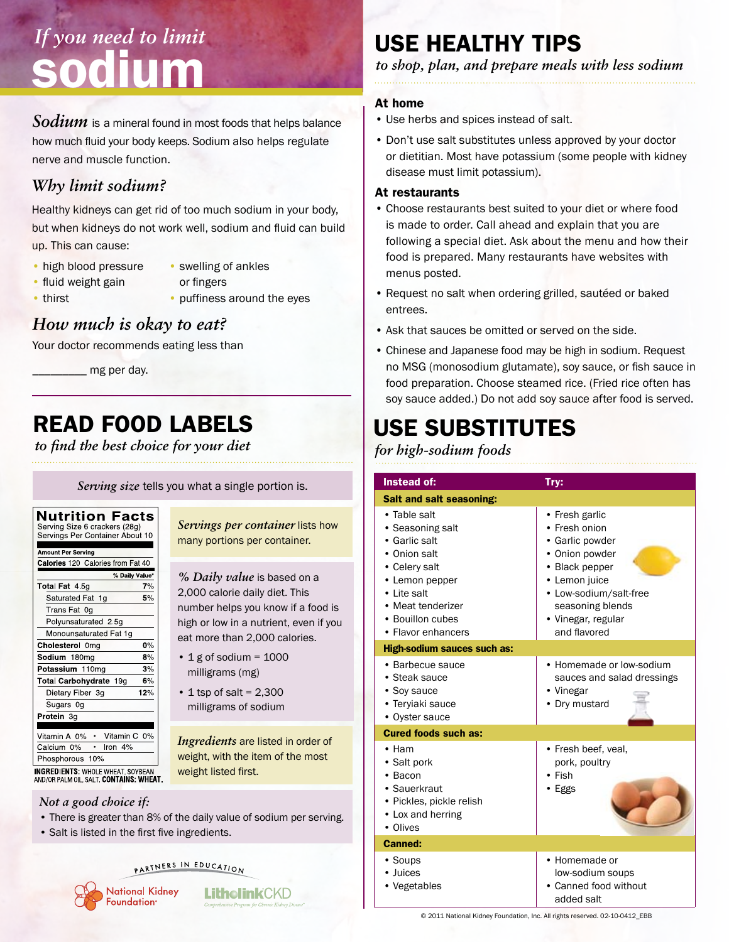# *If you need to limit* sodium

Sodium is a mineral found in most foods that helps balance how much fluid your body keeps. Sodium also helps regulate nerve and muscle function.

### *Why limit sodium?*

Healthy kidneys can get rid of too much sodium in your body, but when kidneys do not work well, sodium and fluid can build up. This can cause:

- high blood pressure
- swelling of ankles
- fluid weight gain
- or fingers
- thirst
- puffiness around the eyes

### *How much is okay to eat?*

Your doctor recommends eating less than

 $\_$  mg per day.

## Read food labels

*to find the best choice for your diet*

*Serving size* tells you what a single portion is.

| Nutrition Facts<br>Serving Size 6 crackers (28g)<br>Servings Per Container About 10 |     |  |
|-------------------------------------------------------------------------------------|-----|--|
| <b>Amount Per Serving</b>                                                           |     |  |
| Calories 120 Calories from Fat 40                                                   |     |  |
| % Daily Value*                                                                      |     |  |
| <b>Total Fat 45g</b>                                                                | 7%  |  |
| Saturated Fat 1q                                                                    | 5%  |  |
| Trans Fat 0g                                                                        |     |  |
| Polyunsaturated 2.5q                                                                |     |  |
| Monounsaturated Fat 1g                                                              |     |  |
| Cholesterol 0mg                                                                     | 0%  |  |
| Sodium 180mg                                                                        | 8%  |  |
| Potassium 110mg                                                                     | 3%  |  |
| Total Carbohydrate 19g                                                              | 6%  |  |
| Dietary Fiber 3g                                                                    | 12% |  |
| Sugars 0g                                                                           |     |  |
| Protein 3g                                                                          |     |  |
|                                                                                     |     |  |
| Vitamin C 0%<br>Vitamin A 0%<br>$\bullet$                                           |     |  |
| Calcium 0%<br>Iron $4%$                                                             |     |  |
| Phosphorous 10%                                                                     |     |  |
| <b>INGREDIENTS: WHOLE WHEAT, SOYBEAN</b>                                            |     |  |

AND/OR PALM OIL, SALT. CONTAINS: WHEAT.

#### *Not a good choice if:*

- There is greater than 8% of the daily value of sodium per serving.
- Salt is listed in the first five ingredients.

#### PARTNERS IN EDUCATION



*Servings per container* lists how many portions per container.

*% Daily value* is based on a 2,000 calorie daily diet. This number helps you know if a food is high or low in a nutrient, even if you eat more than 2,000 calories.

- $\cdot$  1 g of sodium = 1000 milligrams (mg)
- $\cdot$  1 tsp of salt = 2,300 milligrams of sodium

*Ingredients* are listed in order of weight, with the item of the most weight listed first.

**LitholinkCKD** 

## Use healthy tips

*to shop, plan, and prepare meals with less sodium*

#### At home

- Use herbs and spices instead of salt.
- Don't use salt substitutes unless approved by your doctor or dietitian. Most have potassium (some people with kidney disease must limit potassium).

#### At restaurants

- Choose restaurants best suited to your diet or where food is made to order. Call ahead and explain that you are following a special diet. Ask about the menu and how their food is prepared. Many restaurants have websites with menus posted.
- Request no salt when ordering grilled, sautéed or baked entrees.
- Ask that sauces be omitted or served on the side.
- Chinese and Japanese food may be high in sodium. Request no MSG (monosodium glutamate), soy sauce, or fish sauce in food preparation. Choose steamed rice. (Fried rice often has soy sauce added.) Do not add soy sauce after food is served.

## Use substitutes

#### *for high-sodium foods*

| Instead of:                                                                                                                                                                        | Try:                                                                                                                                                                                        |  |
|------------------------------------------------------------------------------------------------------------------------------------------------------------------------------------|---------------------------------------------------------------------------------------------------------------------------------------------------------------------------------------------|--|
| <b>Salt and salt seasoning:</b>                                                                                                                                                    |                                                                                                                                                                                             |  |
| • Table salt<br>• Seasoning salt<br>• Garlic salt<br>• Onion salt<br>• Celery salt<br>• Lemon pepper<br>• Lite salt<br>• Meat tenderizer<br>• Bouillon cubes<br>• Flavor enhancers | • Fresh garlic<br>• Fresh onion<br>• Garlic powder<br>• Onion powder<br>• Black pepper<br>• Lemon juice<br>• Low-sodium/salt-free<br>seasoning blends<br>• Vinegar, regular<br>and flavored |  |
| <b>High-sodium sauces such as:</b>                                                                                                                                                 |                                                                                                                                                                                             |  |
| • Barbecue sauce<br>• Steak sauce<br>• Soy sauce<br>• Teryiaki sauce<br>• Oyster sauce                                                                                             | • Homemade or low-sodium<br>sauces and salad dressings<br>• Vinegar<br>• Dry mustard                                                                                                        |  |
| <b>Cured foods such as:</b>                                                                                                                                                        |                                                                                                                                                                                             |  |
| • Ham<br>• Salt pork<br>$\cdot$ Bacon<br>• Sauerkraut<br>• Pickles, pickle relish<br>• Lox and herring<br>• Olives                                                                 | • Fresh beef, veal,<br>pork, poultry<br>$\cdot$ Fish<br>· Eggs                                                                                                                              |  |
| <b>Canned:</b>                                                                                                                                                                     |                                                                                                                                                                                             |  |
| • Soups<br>• Juices<br>• Vegetables                                                                                                                                                | • Homemade or<br>low-sodium soups<br>Canned food without<br>added salt                                                                                                                      |  |